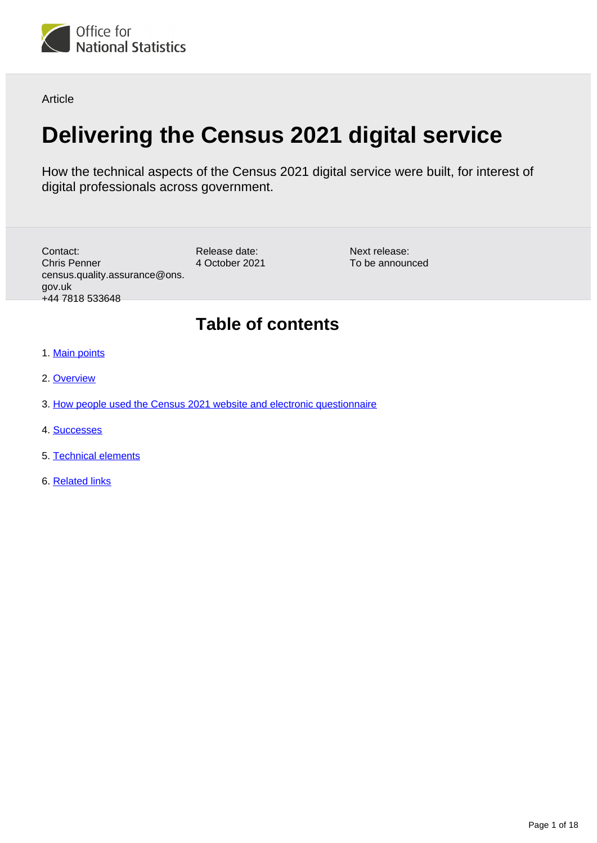

Article

# **Delivering the Census 2021 digital service**

How the technical aspects of the Census 2021 digital service were built, for interest of digital professionals across government.

Release date: 4 October 2021 Contact: Chris Penner census.quality.assurance@ons. gov.uk +44 7818 533648

Next release: To be announced

# **Table of contents**

- 1. [Main points](#page-1-0)
- 2. [Overview](#page-1-1)
- 3. [How people used the Census 2021 website and electronic questionnaire](#page-1-2)
- 4. [Successes](#page-10-0)
- 5. [Technical elements](#page-10-1)
- 6. [Related links](#page-17-0)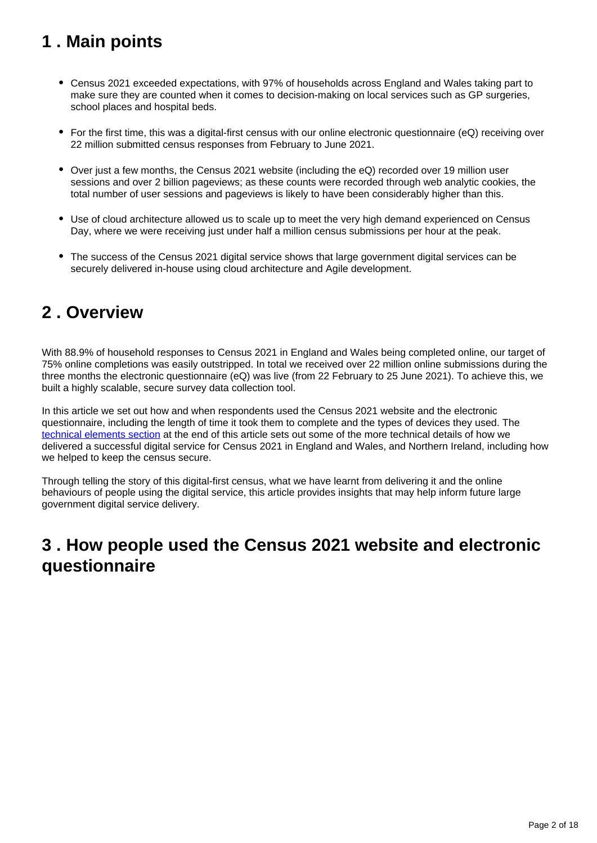# <span id="page-1-0"></span>**1 . Main points**

- Census 2021 exceeded expectations, with 97% of households across England and Wales taking part to make sure they are counted when it comes to decision-making on local services such as GP surgeries, school places and hospital beds.
- For the first time, this was a digital-first census with our online electronic questionnaire (eQ) receiving over 22 million submitted census responses from February to June 2021.
- Over just a few months, the Census 2021 website (including the eQ) recorded over 19 million user sessions and over 2 billion pageviews; as these counts were recorded through web analytic cookies, the total number of user sessions and pageviews is likely to have been considerably higher than this.
- Use of cloud architecture allowed us to scale up to meet the very high demand experienced on Census Day, where we were receiving just under half a million census submissions per hour at the peak.
- The success of the Census 2021 digital service shows that large government digital services can be securely delivered in-house using cloud architecture and Agile development.

## <span id="page-1-1"></span>**2 . Overview**

With 88.9% of household responses to Census 2021 in England and Wales being completed online, our target of 75% online completions was easily outstripped. In total we received over 22 million online submissions during the three months the electronic questionnaire (eQ) was live (from 22 February to 25 June 2021). To achieve this, we built a highly scalable, secure survey data collection tool.

In this article we set out how and when respondents used the Census 2021 website and the electronic questionnaire, including the length of time it took them to complete and the types of devices they used. The [technical elements section](https://www.ons.gov.uk/peoplepopulationandcommunity/householdcharacteristics/homeinternetandsocialmediausage/articles/deliveringthecensus2021digitalservice/2021-10-04#technical-elements) at the end of this article sets out some of the more technical details of how we delivered a successful digital service for Census 2021 in England and Wales, and Northern Ireland, including how we helped to keep the census secure.

Through telling the story of this digital-first census, what we have learnt from delivering it and the online behaviours of people using the digital service, this article provides insights that may help inform future large government digital service delivery.

# <span id="page-1-2"></span>**3 . How people used the Census 2021 website and electronic questionnaire**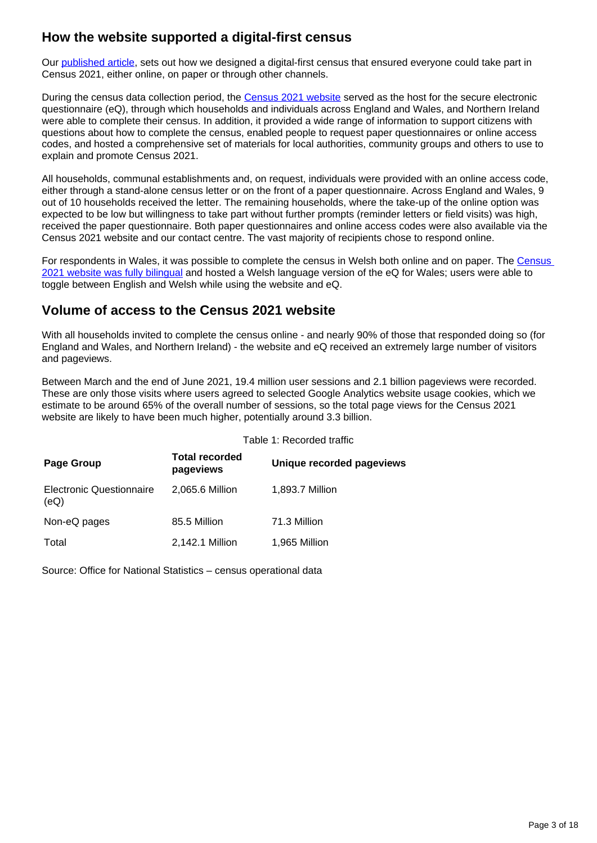### **How the website supported a digital-first census**

Our [published article](https://www.ons.gov.uk/peoplepopulationandcommunity/householdcharacteristics/homeinternetandsocialmediausage/articles/designingadigitalfirstcensus/2021-10-04), sets out how we designed a digital-first census that ensured everyone could take part in Census 2021, either online, on paper or through other channels.

During the census data collection period, the [Census 2021 website](http://www.census.gov.uk/) served as the host for the secure electronic questionnaire (eQ), through which households and individuals across England and Wales, and Northern Ireland were able to complete their census. In addition, it provided a wide range of information to support citizens with questions about how to complete the census, enabled people to request paper questionnaires or online access codes, and hosted a comprehensive set of materials for local authorities, community groups and others to use to explain and promote Census 2021.

All households, communal establishments and, on request, individuals were provided with an online access code, either through a stand-alone census letter or on the front of a paper questionnaire. Across England and Wales, 9 out of 10 households received the letter. The remaining households, where the take-up of the online option was expected to be low but willingness to take part without further prompts (reminder letters or field visits) was high, received the paper questionnaire. Both paper questionnaires and online access codes were also available via the Census 2021 website and our contact centre. The vast majority of recipients chose to respond online.

For respondents in Wales, it was possible to complete the census in Welsh both online and on paper. The [Census](https://cyfrifiad.gov.uk/)  [2021 website was fully bilingual](https://cyfrifiad.gov.uk/) and hosted a Welsh language version of the eQ for Wales; users were able to toggle between English and Welsh while using the website and eQ.

### **Volume of access to the Census 2021 website**

With all households invited to complete the census online - and nearly 90% of those that responded doing so (for England and Wales, and Northern Ireland) - the website and eQ received an extremely large number of visitors and pageviews.

Between March and the end of June 2021, 19.4 million user sessions and 2.1 billion pageviews were recorded. These are only those visits where users agreed to selected Google Analytics website usage cookies, which we estimate to be around 65% of the overall number of sessions, so the total page views for the Census 2021 website are likely to have been much higher, potentially around 3.3 billion.

|                                         | Table 1: Recorded traffic          |                           |  |
|-----------------------------------------|------------------------------------|---------------------------|--|
| Page Group                              | <b>Total recorded</b><br>pageviews | Unique recorded pageviews |  |
| <b>Electronic Questionnaire</b><br>(eQ) | 2,065.6 Million                    | 1,893.7 Million           |  |
| Non-eQ pages                            | 85.5 Million                       | 71.3 Million              |  |
| Total                                   | 2,142.1 Million                    | 1,965 Million             |  |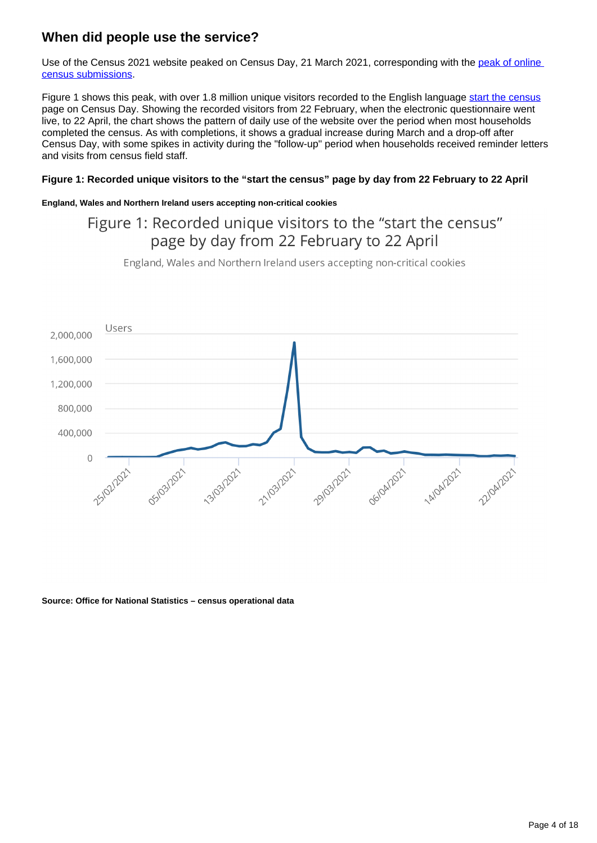### **When did people use the service?**

Use of the Census 2021 website peaked on Census Day, 21 March 2021, corresponding with the peak of online [census submissions](https://www.ons.gov.uk/peoplepopulationandcommunity/householdcharacteristics/homeinternetandsocialmediausage/articles/designingadigitalfirstcensus/2021-10-04).

Figure 1 shows this peak, with over 1.8 million unique visitors recorded to the English language [start the census](https://shareapp.sp.ons.statistics.gov.uk/sites/DigitalPublications/Tracker%20Documents/3085/Editorial%20Text/census.gov.uk/en/start) page on Census Day. Showing the recorded visitors from 22 February, when the electronic questionnaire went live, to 22 April, the chart shows the pattern of daily use of the website over the period when most households completed the census. As with completions, it shows a gradual increase during March and a drop-off after Census Day, with some spikes in activity during the "follow-up" period when households received reminder letters and visits from census field staff.

#### **Figure 1: Recorded unique visitors to the "start the census" page by day from 22 February to 22 April**

#### **England, Wales and Northern Ireland users accepting non-critical cookies**

### Figure 1: Recorded unique visitors to the "start the census" page by day from 22 February to 22 April

England, Wales and Northern Ireland users accepting non-critical cookies

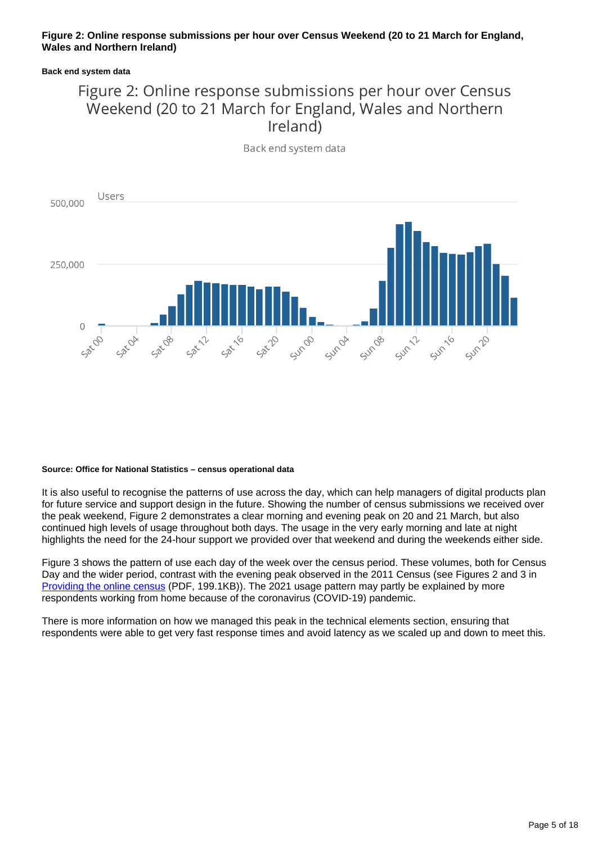#### **Figure 2: Online response submissions per hour over Census Weekend (20 to 21 March for England, Wales and Northern Ireland)**

#### **Back end system data**

### Figure 2: Online response submissions per hour over Census Weekend (20 to 21 March for England, Wales and Northern Ireland)

Back end system data



#### **Source: Office for National Statistics – census operational data**

It is also useful to recognise the patterns of use across the day, which can help managers of digital products plan for future service and support design in the future. Showing the number of census submissions we received over the peak weekend, Figure 2 demonstrates a clear morning and evening peak on 20 and 21 March, but also continued high levels of usage throughout both days. The usage in the very early morning and late at night highlights the need for the 24-hour support we provided over that weekend and during the weekends either side.

Figure 3 shows the pattern of use each day of the week over the census period. These volumes, both for Census Day and the wider period, contrast with the evening peak observed in the 2011 Census (see Figures 2 and 3 in [Providing the online census](http://www.ons.gov.uk/ons/guide-method/census/2011/the-2011-census/the-2011-census-project/2011-census-updates-and-evaluation-reports/2011-census-update--providing-the-online-census.pdf) (PDF, 199.1KB)). The 2021 usage pattern may partly be explained by more respondents working from home because of the coronavirus (COVID-19) pandemic.

There is more information on how we managed this peak in the technical elements section, ensuring that respondents were able to get very fast response times and avoid latency as we scaled up and down to meet this.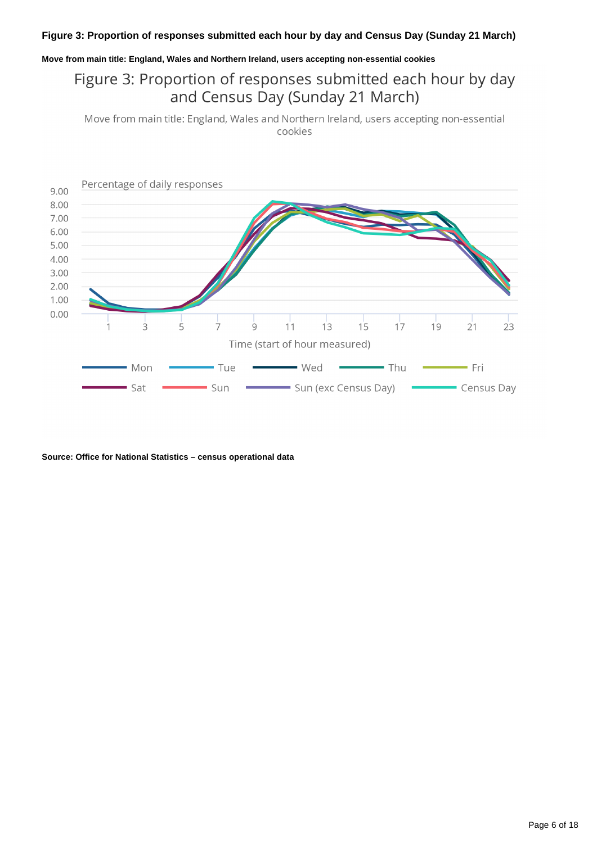#### **Figure 3: Proportion of responses submitted each hour by day and Census Day (Sunday 21 March)**

#### **Move from main title: England, Wales and Northern Ireland, users accepting non-essential cookies**

### Figure 3: Proportion of responses submitted each hour by day and Census Day (Sunday 21 March)

Move from main title: England, Wales and Northern Ireland, users accepting non-essential cookies

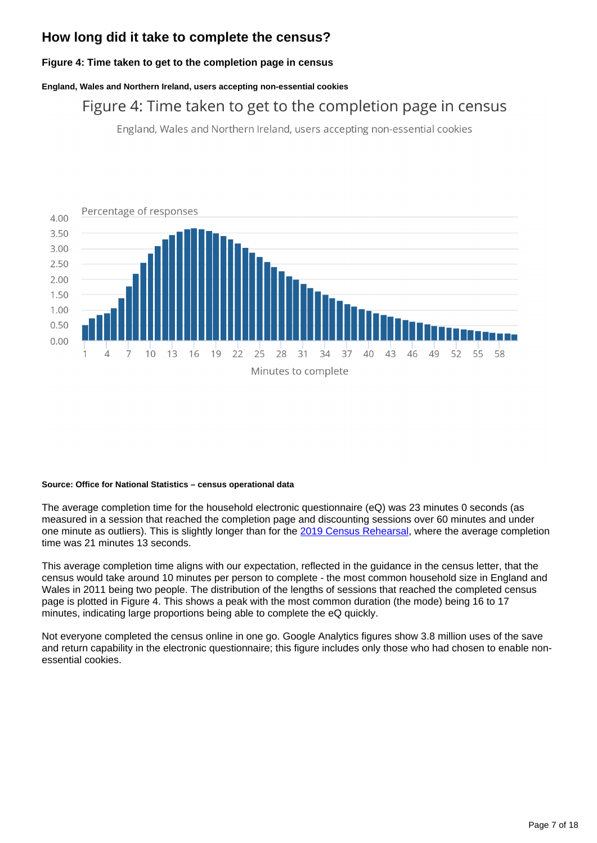### **How long did it take to complete the census?**

#### **Figure 4: Time taken to get to the completion page in census**

**England, Wales and Northern Ireland, users accepting non-essential cookies**

### Figure 4: Time taken to get to the completion page in census

England, Wales and Northern Ireland, users accepting non-essential cookies



#### **Source: Office for National Statistics – census operational data**

The average completion time for the household electronic questionnaire (eQ) was 23 minutes 0 seconds (as measured in a session that reached the completion page and discounting sessions over 60 minutes and under one minute as outliers). This is slightly longer than for the [2019 Census Rehearsal,](https://www.ons.gov.uk/census/censustransformationprogramme/testingthecensus/2019collectionrehearsalevaluationreportforcensus2021englandandwales) where the average completion time was 21 minutes 13 seconds.

This average completion time aligns with our expectation, reflected in the guidance in the census letter, that the census would take around 10 minutes per person to complete - the most common household size in England and Wales in 2011 being two people. The distribution of the lengths of sessions that reached the completed census page is plotted in Figure 4. This shows a peak with the most common duration (the mode) being 16 to 17 minutes, indicating large proportions being able to complete the eQ quickly.

Not everyone completed the census online in one go. Google Analytics figures show 3.8 million uses of the save and return capability in the electronic questionnaire; this figure includes only those who had chosen to enable nonessential cookies.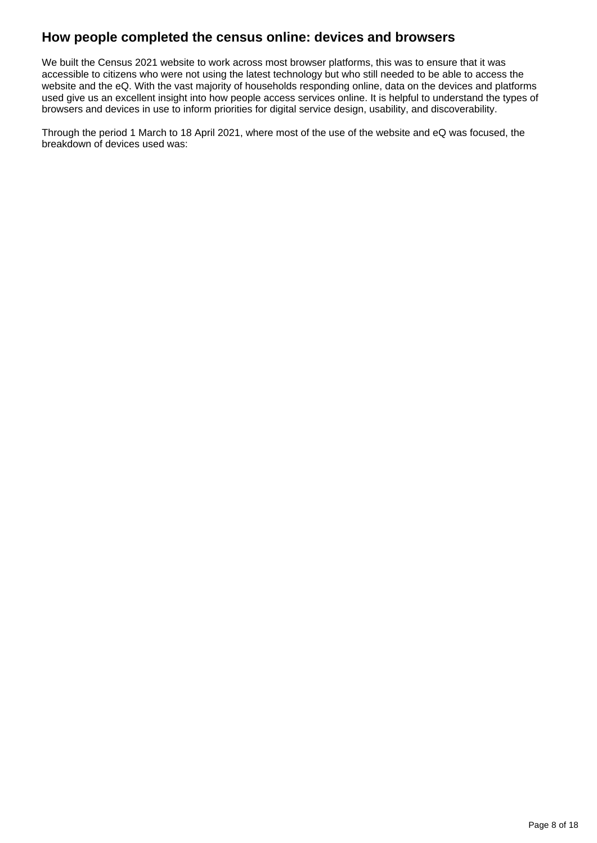### **How people completed the census online: devices and browsers**

We built the Census 2021 website to work across most browser platforms, this was to ensure that it was accessible to citizens who were not using the latest technology but who still needed to be able to access the website and the eQ. With the vast majority of households responding online, data on the devices and platforms used give us an excellent insight into how people access services online. It is helpful to understand the types of browsers and devices in use to inform priorities for digital service design, usability, and discoverability.

Through the period 1 March to 18 April 2021, where most of the use of the website and eQ was focused, the breakdown of devices used was: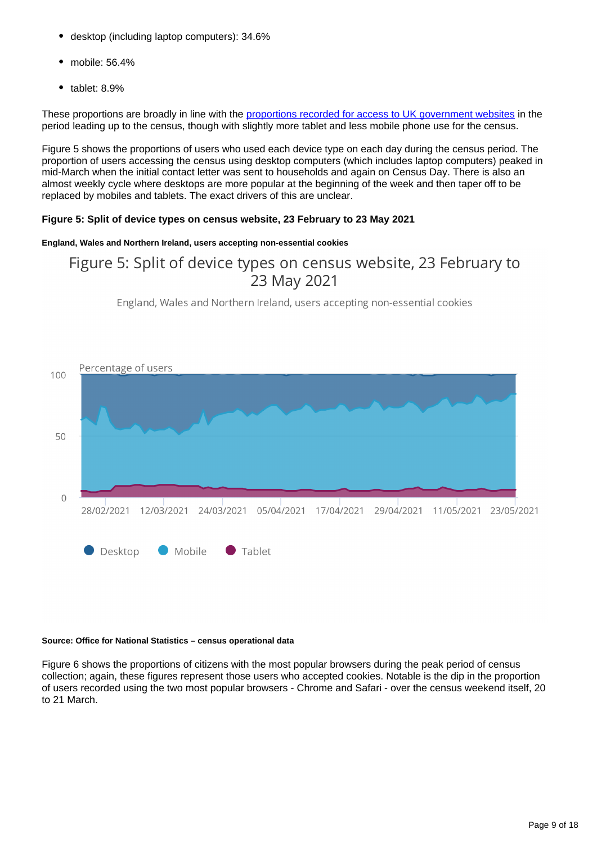- desktop (including laptop computers): 34.6%
- mobile: 56.4%
- tablet: 8.9%

These proportions are broadly in line with the [proportions recorded for access to UK government websites](https://webarchive.nationalarchives.gov.uk/20210315071021/https:/www.gov.uk/performance/site-activity/device-type) in the period leading up to the census, though with slightly more tablet and less mobile phone use for the census.

Figure 5 shows the proportions of users who used each device type on each day during the census period. The proportion of users accessing the census using desktop computers (which includes laptop computers) peaked in mid-March when the initial contact letter was sent to households and again on Census Day. There is also an almost weekly cycle where desktops are more popular at the beginning of the week and then taper off to be replaced by mobiles and tablets. The exact drivers of this are unclear.

#### **Figure 5: Split of device types on census website, 23 February to 23 May 2021**

#### **England, Wales and Northern Ireland, users accepting non-essential cookies**

### Figure 5: Split of device types on census website, 23 February to 23 May 2021

England, Wales and Northern Ireland, users accepting non-essential cookies



#### **Source: Office for National Statistics – census operational data**

Figure 6 shows the proportions of citizens with the most popular browsers during the peak period of census collection; again, these figures represent those users who accepted cookies. Notable is the dip in the proportion of users recorded using the two most popular browsers - Chrome and Safari - over the census weekend itself, 20 to 21 March.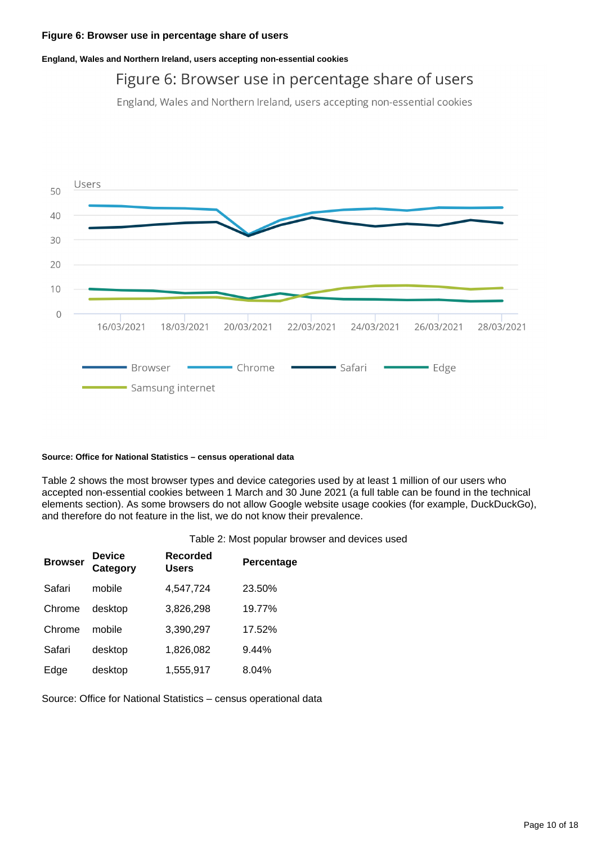**England, Wales and Northern Ireland, users accepting non-essential cookies**

### Figure 6: Browser use in percentage share of users

England, Wales and Northern Ireland, users accepting non-essential cookies



#### **Source: Office for National Statistics – census operational data**

Table 2 shows the most browser types and device categories used by at least 1 million of our users who accepted non-essential cookies between 1 March and 30 June 2021 (a full table can be found in the technical elements section). As some browsers do not allow Google website usage cookies (for example, DuckDuckGo), and therefore do not feature in the list, we do not know their prevalence.

| Table 2: Most popular browser and devices used |  |  |  |  |  |  |
|------------------------------------------------|--|--|--|--|--|--|
|------------------------------------------------|--|--|--|--|--|--|

| <b>Browser</b> | Device<br>Category | Recorded<br><b>Users</b> | Percentage |
|----------------|--------------------|--------------------------|------------|
| Safari         | mobile             | 4,547,724                | 23.50%     |
| Chrome         | desktop            | 3,826,298                | 19.77%     |
| Chrome         | mobile             | 3,390,297                | 17.52%     |
| Safari         | desktop            | 1,826,082                | 9.44%      |
| Edge           | desktop            | 1,555,917                | 8.04%      |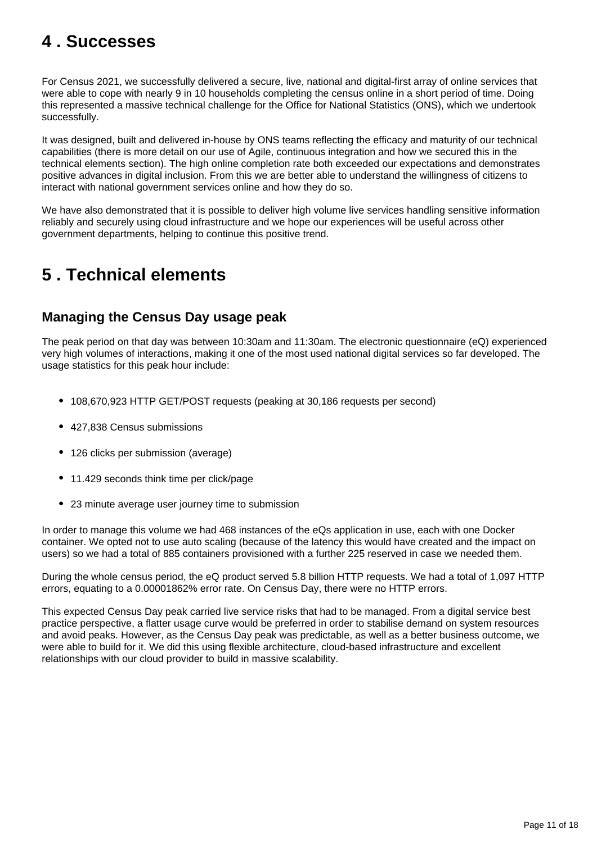# <span id="page-10-0"></span>**4 . Successes**

For Census 2021, we successfully delivered a secure, live, national and digital-first array of online services that were able to cope with nearly 9 in 10 households completing the census online in a short period of time. Doing this represented a massive technical challenge for the Office for National Statistics (ONS), which we undertook successfully.

It was designed, built and delivered in-house by ONS teams reflecting the efficacy and maturity of our technical capabilities (there is more detail on our use of Agile, continuous integration and how we secured this in the technical elements section). The high online completion rate both exceeded our expectations and demonstrates positive advances in digital inclusion. From this we are better able to understand the willingness of citizens to interact with national government services online and how they do so.

We have also demonstrated that it is possible to deliver high volume live services handling sensitive information reliably and securely using cloud infrastructure and we hope our experiences will be useful across other government departments, helping to continue this positive trend.

# <span id="page-10-1"></span>**5 . Technical elements**

### **Managing the Census Day usage peak**

The peak period on that day was between 10:30am and 11:30am. The electronic questionnaire (eQ) experienced very high volumes of interactions, making it one of the most used national digital services so far developed. The usage statistics for this peak hour include:

- 108,670,923 HTTP GET/POST requests (peaking at 30,186 requests per second)
- 427,838 Census submissions
- 126 clicks per submission (average)
- 11.429 seconds think time per click/page
- 23 minute average user journey time to submission

In order to manage this volume we had 468 instances of the eQs application in use, each with one Docker container. We opted not to use auto scaling (because of the latency this would have created and the impact on users) so we had a total of 885 containers provisioned with a further 225 reserved in case we needed them.

During the whole census period, the eQ product served 5.8 billion HTTP requests. We had a total of 1,097 HTTP errors, equating to a 0.00001862% error rate. On Census Day, there were no HTTP errors.

This expected Census Day peak carried live service risks that had to be managed. From a digital service best practice perspective, a flatter usage curve would be preferred in order to stabilise demand on system resources and avoid peaks. However, as the Census Day peak was predictable, as well as a better business outcome, we were able to build for it. We did this using flexible architecture, cloud-based infrastructure and excellent relationships with our cloud provider to build in massive scalability.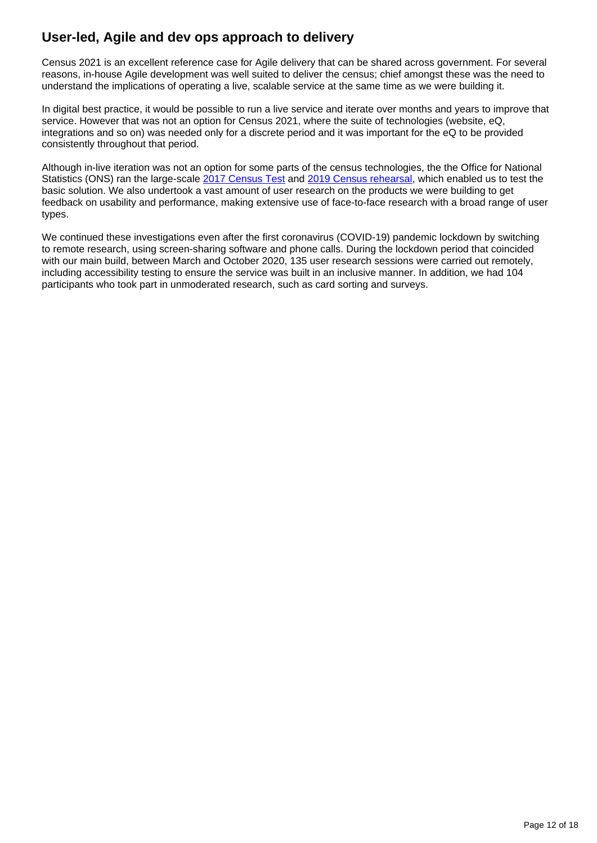### **User-led, Agile and dev ops approach to delivery**

Census 2021 is an excellent reference case for Agile delivery that can be shared across government. For several reasons, in-house Agile development was well suited to deliver the census; chief amongst these was the need to understand the implications of operating a live, scalable service at the same time as we were building it.

In digital best practice, it would be possible to run a live service and iterate over months and years to improve that service. However that was not an option for Census 2021, where the suite of technologies (website, eQ, integrations and so on) was needed only for a discrete period and it was important for the eQ to be provided consistently throughout that period.

Although in-live iteration was not an option for some parts of the census technologies, the the Office for National Statistics (ONS) ran the large-scale [2017 Census Test](https://www.ons.gov.uk/census/censustransformationprogramme/testingthecensus/2017test/2017censustestreport) and [2019 Census rehearsal](https://www.ons.gov.uk/census/censustransformationprogramme/testingthecensus/2019collectionrehearsalevaluationreportforcensus2021englandandwales), which enabled us to test the basic solution. We also undertook a vast amount of user research on the products we were building to get feedback on usability and performance, making extensive use of face-to-face research with a broad range of user types.

We continued these investigations even after the first coronavirus (COVID-19) pandemic lockdown by switching to remote research, using screen-sharing software and phone calls. During the lockdown period that coincided with our main build, between March and October 2020, 135 user research sessions were carried out remotely, including accessibility testing to ensure the service was built in an inclusive manner. In addition, we had 104 participants who took part in unmoderated research, such as card sorting and surveys.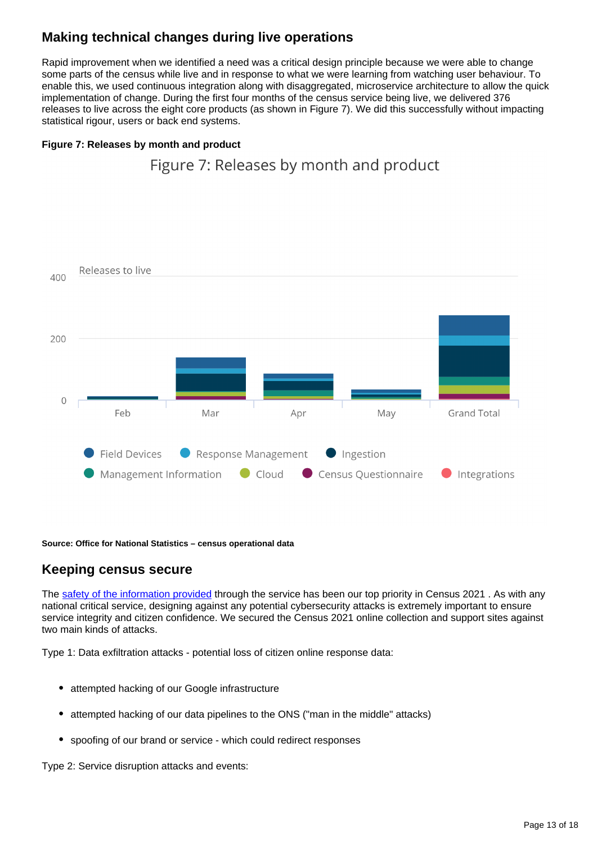### **Making technical changes during live operations**

Rapid improvement when we identified a need was a critical design principle because we were able to change some parts of the census while live and in response to what we were learning from watching user behaviour. To enable this, we used continuous integration along with disaggregated, microservice architecture to allow the quick implementation of change. During the first four months of the census service being live, we delivered 376 releases to live across the eight core products (as shown in Figure 7). We did this successfully without impacting statistical rigour, users or back end systems.

Figure 7: Releases by month and product

#### **Figure 7: Releases by month and product**



**Source: Office for National Statistics – census operational data**

### **Keeping census secure**

The [safety of the information provided](https://census.gov.uk/your-data-and-security) through the service has been our top priority in Census 2021. As with any national critical service, designing against any potential cybersecurity attacks is extremely important to ensure service integrity and citizen confidence. We secured the Census 2021 online collection and support sites against two main kinds of attacks.

Type 1: Data exfiltration attacks - potential loss of citizen online response data:

- attempted hacking of our Google infrastructure
- attempted hacking of our data pipelines to the ONS ("man in the middle" attacks)
- spoofing of our brand or service which could redirect responses

Type 2: Service disruption attacks and events: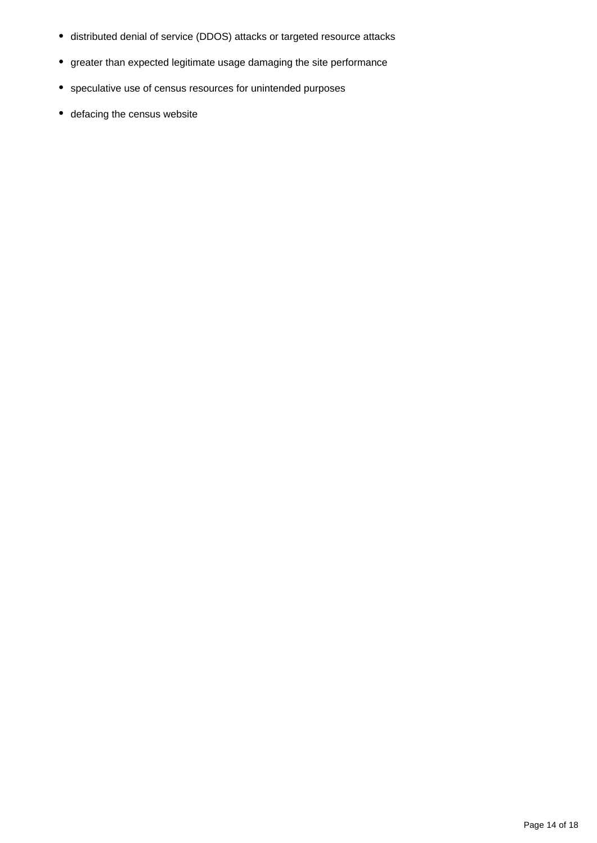- distributed denial of service (DDOS) attacks or targeted resource attacks
- greater than expected legitimate usage damaging the site performance
- speculative use of census resources for unintended purposes
- defacing the census website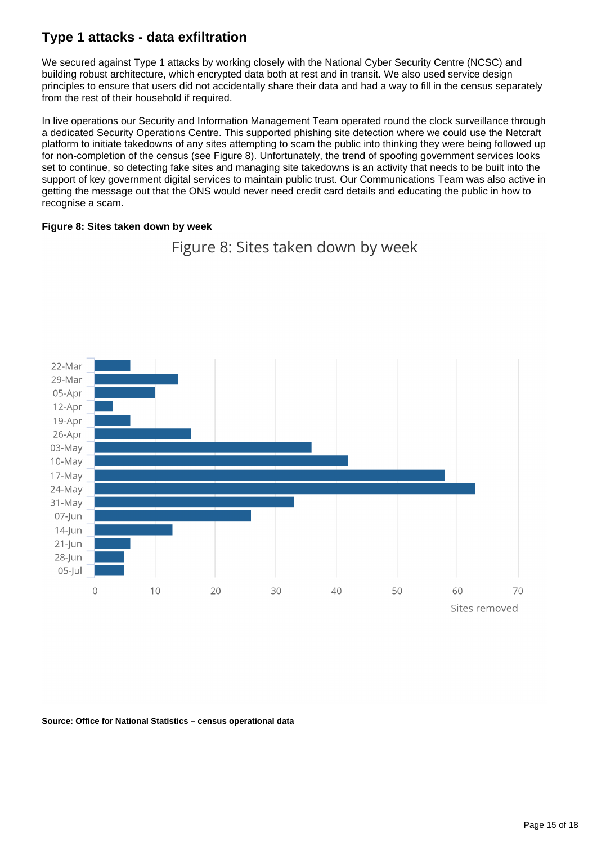### **Type 1 attacks - data exfiltration**

We secured against Type 1 attacks by working closely with the National Cyber Security Centre (NCSC) and building robust architecture, which encrypted data both at rest and in transit. We also used service design principles to ensure that users did not accidentally share their data and had a way to fill in the census separately from the rest of their household if required.

In live operations our Security and Information Management Team operated round the clock surveillance through a dedicated Security Operations Centre. This supported phishing site detection where we could use the Netcraft platform to initiate takedowns of any sites attempting to scam the public into thinking they were being followed up for non-completion of the census (see Figure 8). Unfortunately, the trend of spoofing government services looks set to continue, so detecting fake sites and managing site takedowns is an activity that needs to be built into the support of key government digital services to maintain public trust. Our Communications Team was also active in getting the message out that the ONS would never need credit card details and educating the public in how to recognise a scam.

#### **Figure 8: Sites taken down by week**



Figure 8: Sites taken down by week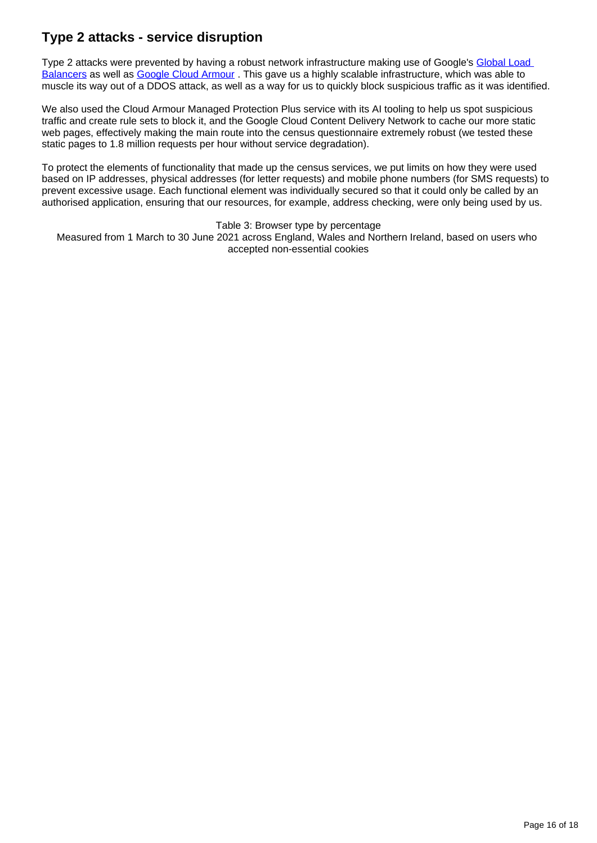### **Type 2 attacks - service disruption**

Type 2 attacks were prevented by having a robust network infrastructure making use of Google's Global Load [Balancers](https://cloud.google.com/load-balancing) as well as [Google Cloud Armour](https://cloud.google.com/armor). This gave us a highly scalable infrastructure, which was able to muscle its way out of a DDOS attack, as well as a way for us to quickly block suspicious traffic as it was identified.

We also used the Cloud Armour Managed Protection Plus service with its AI tooling to help us spot suspicious traffic and create rule sets to block it, and the Google Cloud Content Delivery Network to cache our more static web pages, effectively making the main route into the census questionnaire extremely robust (we tested these static pages to 1.8 million requests per hour without service degradation).

To protect the elements of functionality that made up the census services, we put limits on how they were used based on IP addresses, physical addresses (for letter requests) and mobile phone numbers (for SMS requests) to prevent excessive usage. Each functional element was individually secured so that it could only be called by an authorised application, ensuring that our resources, for example, address checking, were only being used by us.

Table 3: Browser type by percentage

Measured from 1 March to 30 June 2021 across England, Wales and Northern Ireland, based on users who accepted non-essential cookies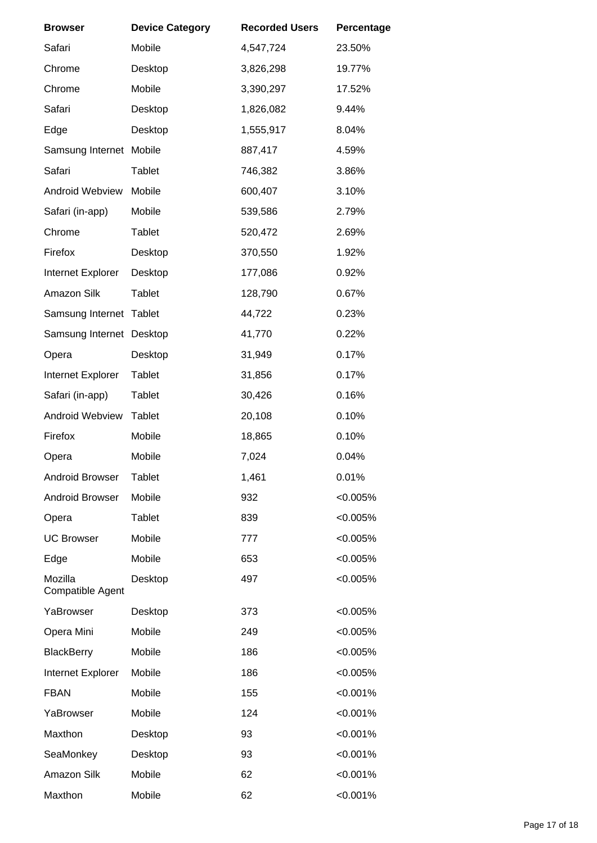| <b>Browser</b>                     | <b>Device Category</b> | <b>Recorded Users</b> | Percentage  |
|------------------------------------|------------------------|-----------------------|-------------|
| Safari                             | Mobile                 | 4,547,724             | 23.50%      |
| Chrome                             | Desktop                | 3,826,298             | 19.77%      |
| Chrome                             | Mobile                 | 3,390,297             | 17.52%      |
| Safari                             | Desktop                | 1,826,082             | 9.44%       |
| Edge                               | Desktop                | 1,555,917             | 8.04%       |
| Samsung Internet                   | Mobile                 | 887,417               | 4.59%       |
| Safari                             | <b>Tablet</b>          | 746,382               | 3.86%       |
| <b>Android Webview</b>             | Mobile                 | 600,407               | 3.10%       |
| Safari (in-app)                    | Mobile                 | 539,586               | 2.79%       |
| Chrome                             | <b>Tablet</b>          | 520,472               | 2.69%       |
| Firefox                            | Desktop                | 370,550               | 1.92%       |
| Internet Explorer                  | Desktop                | 177,086               | 0.92%       |
| Amazon Silk                        | <b>Tablet</b>          | 128,790               | 0.67%       |
| Samsung Internet                   | Tablet                 | 44,722                | 0.23%       |
| Samsung Internet                   | Desktop                | 41,770                | 0.22%       |
| Opera                              | Desktop                | 31,949                | 0.17%       |
| Internet Explorer                  | <b>Tablet</b>          | 31,856                | 0.17%       |
| Safari (in-app)                    | <b>Tablet</b>          | 30,426                | 0.16%       |
| <b>Android Webview</b>             | <b>Tablet</b>          | 20,108                | 0.10%       |
| Firefox                            | Mobile                 | 18,865                | 0.10%       |
| Opera                              | Mobile                 | 7,024                 | 0.04%       |
| <b>Android Browser</b>             | <b>Tablet</b>          | 1,461                 | 0.01%       |
| Android Browser                    | Mobile                 | 932                   | $< 0.005\%$ |
| Opera                              | <b>Tablet</b>          | 839                   | $< 0.005\%$ |
| <b>UC Browser</b>                  | Mobile                 | 777                   | $< 0.005\%$ |
| Edge                               | Mobile                 | 653                   | $< 0.005\%$ |
| Mozilla<br><b>Compatible Agent</b> | Desktop                | 497                   | $< 0.005\%$ |
| YaBrowser                          | Desktop                | 373                   | $< 0.005\%$ |
| Opera Mini                         | Mobile                 | 249                   | $< 0.005\%$ |
| <b>BlackBerry</b>                  | Mobile                 | 186                   | $< 0.005\%$ |
| Internet Explorer                  | Mobile                 | 186                   | $< 0.005\%$ |
| <b>FBAN</b>                        | Mobile                 | 155                   | < 0.001%    |
| YaBrowser                          | Mobile                 | 124                   | < 0.001%    |
| Maxthon                            | Desktop                | 93                    | < 0.001%    |
| SeaMonkey                          | Desktop                | 93                    | < 0.001%    |
| Amazon Silk                        | Mobile                 | 62                    | < 0.001%    |
| Maxthon                            | Mobile                 | 62                    | < 0.001%    |